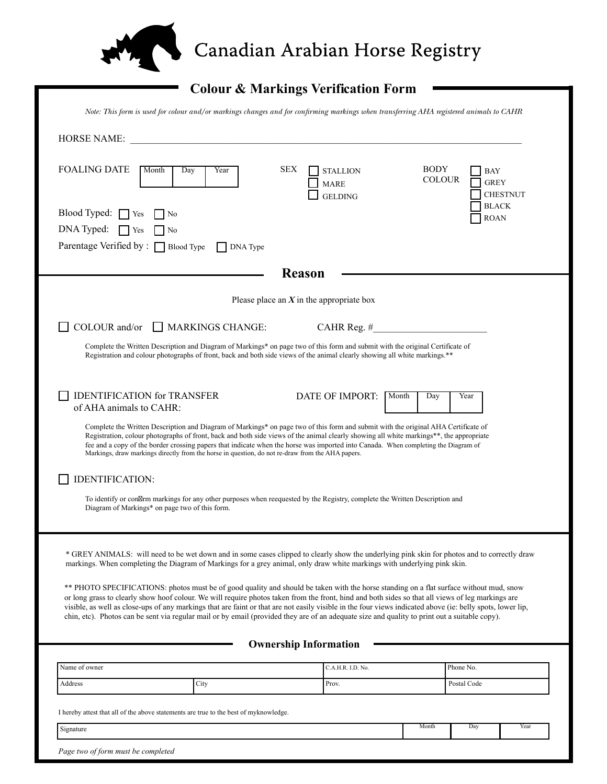

## Canadian Arabian Horse Registry

## **Colour & Markings Verification Form**

|                                                                                                                                                                                                                                                                                                                                                                                                                                                                                                                                                                                                             | Note: This form is used for colour and/or markings changes and for confirming markings when transferring AHA registered animals to CAHR                                                                                                                                                                                                                                                                                                                                                                                 |                                            |                              |                                       |
|-------------------------------------------------------------------------------------------------------------------------------------------------------------------------------------------------------------------------------------------------------------------------------------------------------------------------------------------------------------------------------------------------------------------------------------------------------------------------------------------------------------------------------------------------------------------------------------------------------------|-------------------------------------------------------------------------------------------------------------------------------------------------------------------------------------------------------------------------------------------------------------------------------------------------------------------------------------------------------------------------------------------------------------------------------------------------------------------------------------------------------------------------|--------------------------------------------|------------------------------|---------------------------------------|
| <b>HORSE NAME:</b>                                                                                                                                                                                                                                                                                                                                                                                                                                                                                                                                                                                          |                                                                                                                                                                                                                                                                                                                                                                                                                                                                                                                         |                                            |                              |                                       |
| <b>FOALING DATE</b><br>Month                                                                                                                                                                                                                                                                                                                                                                                                                                                                                                                                                                                | <b>SEX</b><br>Day<br>Year                                                                                                                                                                                                                                                                                                                                                                                                                                                                                               | <b>STALLION</b><br>MARE<br><b>GELDING</b>  | <b>BODY</b><br><b>COLOUR</b> | BAY<br><b>GREY</b><br><b>CHESTNUT</b> |
| Blood Typed: $\Box$ Yes<br>  No<br>DNA Typed:<br><b>Yes</b><br>N <sub>0</sub><br>Parentage Verified by : $\Box$ Blood Type                                                                                                                                                                                                                                                                                                                                                                                                                                                                                  | $\Box$ DNA Type                                                                                                                                                                                                                                                                                                                                                                                                                                                                                                         |                                            |                              | <b>BLACK</b><br><b>ROAN</b>           |
|                                                                                                                                                                                                                                                                                                                                                                                                                                                                                                                                                                                                             |                                                                                                                                                                                                                                                                                                                                                                                                                                                                                                                         | <b>Reason</b>                              |                              |                                       |
|                                                                                                                                                                                                                                                                                                                                                                                                                                                                                                                                                                                                             |                                                                                                                                                                                                                                                                                                                                                                                                                                                                                                                         | Please place an $X$ in the appropriate box |                              |                                       |
| COLOUR and/or                                                                                                                                                                                                                                                                                                                                                                                                                                                                                                                                                                                               | $\Box$ MARKINGS CHANGE:                                                                                                                                                                                                                                                                                                                                                                                                                                                                                                 | CAHR Reg. $#$                              |                              |                                       |
|                                                                                                                                                                                                                                                                                                                                                                                                                                                                                                                                                                                                             | Complete the Written Description and Diagram of Markings* on page two of this form and submit with the original Certificate of<br>Registration and colour photographs of front, back and both side views of the animal clearly showing all white markings.**                                                                                                                                                                                                                                                            |                                            |                              |                                       |
| <b>IDENTIFICATION for TRANSFER</b><br>of AHA animals to CAHR:                                                                                                                                                                                                                                                                                                                                                                                                                                                                                                                                               |                                                                                                                                                                                                                                                                                                                                                                                                                                                                                                                         | DATE OF IMPORT:                            | Month<br>Day                 | Year                                  |
|                                                                                                                                                                                                                                                                                                                                                                                                                                                                                                                                                                                                             | Complete the Written Description and Diagram of Markings* on page two of this form and submit with the original AHA Certificate of<br>Registration, colour photographs of front, back and both side views of the animal clearly showing all white markings**, the appropriate<br>fee and a copy of the border crossing papers that indicate when the horse was imported into Canada. When completing the Diagram of<br>Markings, draw markings directly from the horse in question, do not re-draw from the AHA papers. |                                            |                              |                                       |
| IDENTIFICATION:                                                                                                                                                                                                                                                                                                                                                                                                                                                                                                                                                                                             |                                                                                                                                                                                                                                                                                                                                                                                                                                                                                                                         |                                            |                              |                                       |
| Diagram of Markings* on page two of this form.                                                                                                                                                                                                                                                                                                                                                                                                                                                                                                                                                              | To identify or con rm markings for any other purposes when reequested by the Registry, complete the Written Description and                                                                                                                                                                                                                                                                                                                                                                                             |                                            |                              |                                       |
| * GREY ANIMALS: will need to be wet down and in some cases clipped to clearly show the underlying pink skin for photos and to correctly draw<br>markings. When completing the Diagram of Markings for a grey animal, only draw white markings with underlying pink skin.                                                                                                                                                                                                                                                                                                                                    |                                                                                                                                                                                                                                                                                                                                                                                                                                                                                                                         |                                            |                              |                                       |
| ** PHOTO SPECIFICATIONS: photos must be of good quality and should be taken with the horse standing on a flat surface without mud, snow<br>or long grass to clearly show hoof colour. We will require photos taken from the front, hind and both sides so that all views of leg markings are<br>visible, as well as close-ups of any markings that are faint or that are not easily visible in the four views indicated above (ie: belly spots, lower lip,<br>chin, etc). Photos can be sent via regular mail or by email (provided they are of an adequate size and quality to print out a suitable copy). |                                                                                                                                                                                                                                                                                                                                                                                                                                                                                                                         |                                            |                              |                                       |
|                                                                                                                                                                                                                                                                                                                                                                                                                                                                                                                                                                                                             |                                                                                                                                                                                                                                                                                                                                                                                                                                                                                                                         | <b>Ownership Information</b>               |                              |                                       |
| Name of owner                                                                                                                                                                                                                                                                                                                                                                                                                                                                                                                                                                                               |                                                                                                                                                                                                                                                                                                                                                                                                                                                                                                                         | C.A.H.R. I.D. No.                          |                              | Phone No.                             |
| Address                                                                                                                                                                                                                                                                                                                                                                                                                                                                                                                                                                                                     | City                                                                                                                                                                                                                                                                                                                                                                                                                                                                                                                    | Prov.                                      |                              | Postal Code                           |
| I hereby attest that all of the above statements are true to the best of myknowledge.                                                                                                                                                                                                                                                                                                                                                                                                                                                                                                                       |                                                                                                                                                                                                                                                                                                                                                                                                                                                                                                                         |                                            |                              |                                       |
| Signature                                                                                                                                                                                                                                                                                                                                                                                                                                                                                                                                                                                                   |                                                                                                                                                                                                                                                                                                                                                                                                                                                                                                                         |                                            | Month                        | Day<br>Year                           |
| Page two of form must be completed                                                                                                                                                                                                                                                                                                                                                                                                                                                                                                                                                                          |                                                                                                                                                                                                                                                                                                                                                                                                                                                                                                                         |                                            |                              |                                       |